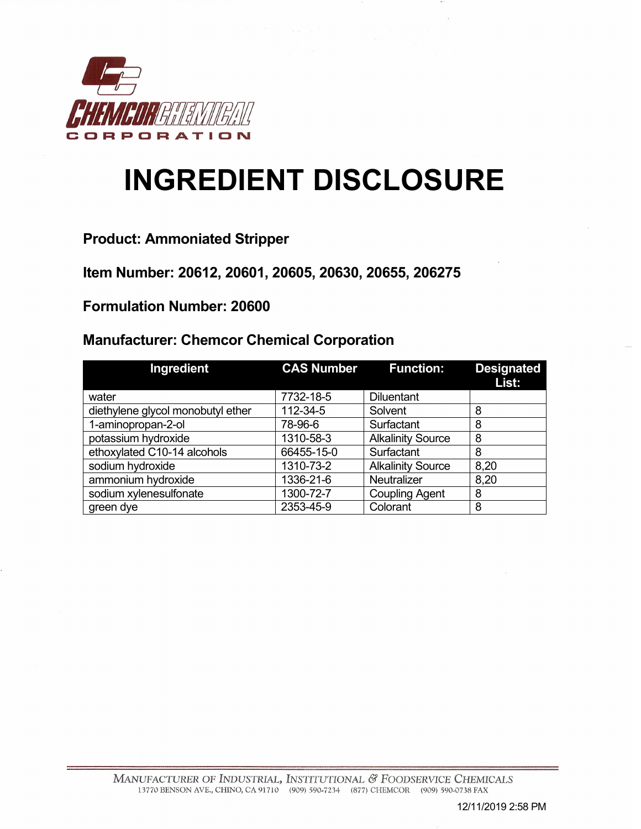

## **INGREDIENT DISCLOSURE**

**Product: Ammoniated Stripper**

**Item Number: 20612, 20601, 20605, 20630, 20655, 206275**

**Formulation Number: 20600**

## **Manufacturer: Chemcor Chemical Corporation**

| Ingredient                        |            | <b>CAS Number Function:</b> | <b>Designated</b><br>List: |
|-----------------------------------|------------|-----------------------------|----------------------------|
| water                             | 7732-18-5  | <b>Diluentant</b>           |                            |
| diethylene glycol monobutyl ether | 112-34-5   | Solvent                     | 8                          |
| 1-aminopropan-2-ol                | 78-96-6    | Surfactant                  | 8                          |
| potassium hydroxide               | 1310-58-3  | <b>Alkalinity Source</b>    | 8                          |
| ethoxylated C10-14 alcohols       | 66455-15-0 | Surfactant                  | 8                          |
| sodium hydroxide                  | 1310-73-2  | <b>Alkalinity Source</b>    | 8,20                       |
| ammonium hydroxide                | 1336-21-6  | <b>Neutralizer</b>          | 8,20                       |
| sodium xylenesulfonate            | 1300-72-7  | <b>Coupling Agent</b>       | 8                          |
| green dye                         | 2353-45-9  | Colorant                    | 8                          |